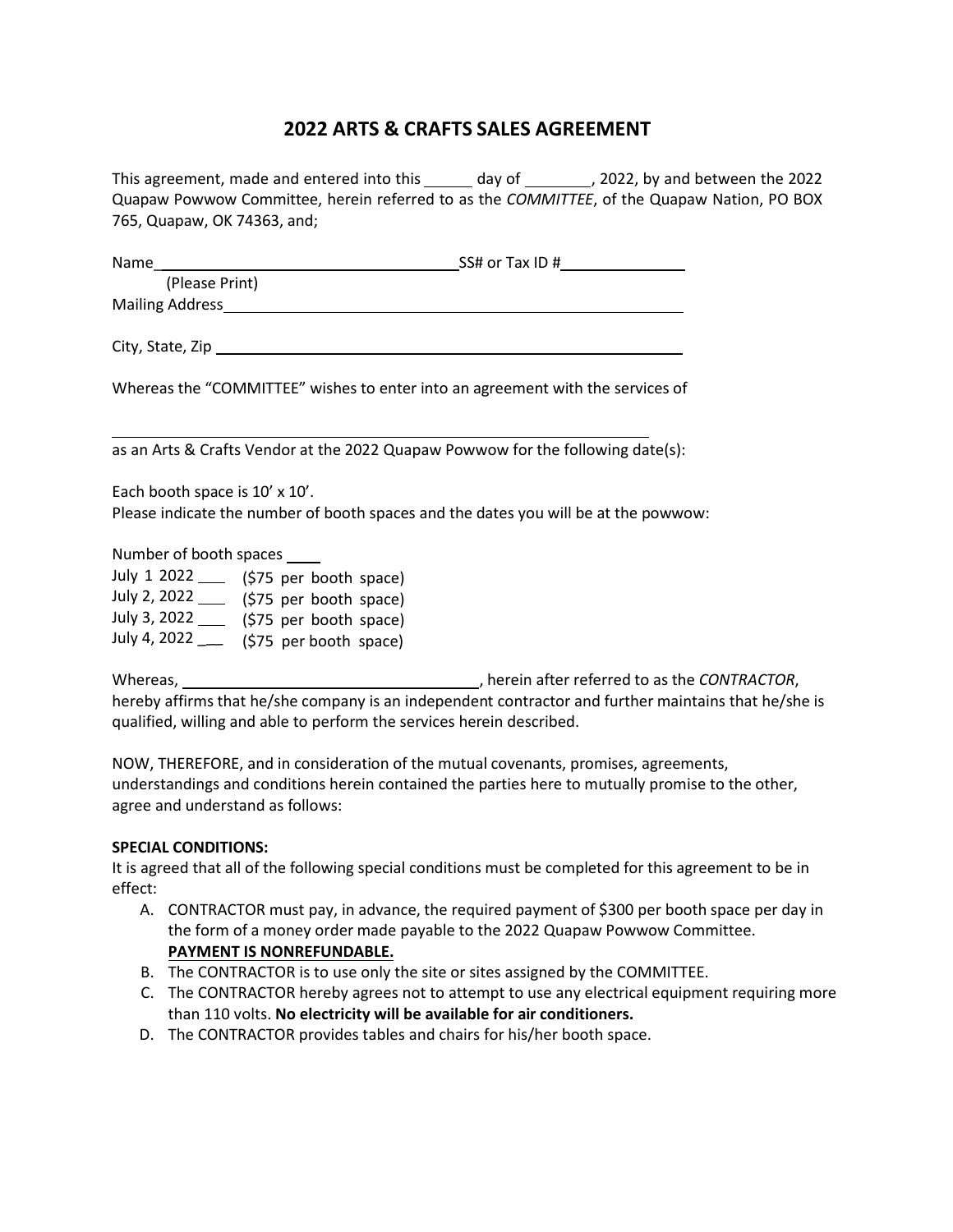# **2022 ARTS & CRAFTS SALES AGREEMENT**

This agreement, made and entered into this \_\_\_\_\_\_ day of \_\_\_\_\_\_\_\_, 2022, by and between the 2022 Quapaw Powwow Committee, herein referred to as the *COMMITTEE*, of the Quapaw Nation, PO BOX 765, Quapaw, OK 74363, and;

| Name stational state of the state of the state of the state of the state of the state of the state of the state of the state of the state of the state of the state of the state of the state of the state of the state of the | SS# or Tax ID #                                                                |
|--------------------------------------------------------------------------------------------------------------------------------------------------------------------------------------------------------------------------------|--------------------------------------------------------------------------------|
| (Please Print)                                                                                                                                                                                                                 |                                                                                |
|                                                                                                                                                                                                                                | Mailing Address Management and the Mailing Address                             |
|                                                                                                                                                                                                                                |                                                                                |
|                                                                                                                                                                                                                                | Whereas the "COMMITTEE" wishes to enter into an agreement with the services of |
|                                                                                                                                                                                                                                |                                                                                |

as an Arts & Crafts Vendor at the 2022 Quapaw Powwow for the following date(s):

Each booth space is 10' x 10'. Please indicate the number of booth spaces and the dates you will be at the powwow:

Number of booth spaces

| July 1 2022  | (\$75 per booth space) |
|--------------|------------------------|
| July 2, 2022 | (\$75 per booth space) |
| July 3, 2022 | (\$75 per booth space) |
| July 4, 2022 | (\$75 per booth space) |

Whereas,  $\blacksquare$  , herein after referred to as the *CONTRACTOR*, hereby affirms that he/she company is an independent contractor and further maintains that he/she is qualified, willing and able to perform the services herein described.

NOW, THEREFORE, and in consideration of the mutual covenants, promises, agreements, understandings and conditions herein contained the parties here to mutually promise to the other, agree and understand as follows:

#### **SPECIAL CONDITIONS:**

It is agreed that all of the following special conditions must be completed for this agreement to be in effect:

- A. CONTRACTOR must pay, in advance, the required payment of \$300 per booth space per day in the form of a money order made payable to the 2022 Quapaw Powwow Committee. **PAYMENT IS NONREFUNDABLE.**
- B. The CONTRACTOR is to use only the site or sites assigned by the COMMITTEE.
- C. The CONTRACTOR hereby agrees not to attempt to use any electrical equipment requiring more than 110 volts. **No electricity will be available for air conditioners.**
- D. The CONTRACTOR provides tables and chairs for his/her booth space.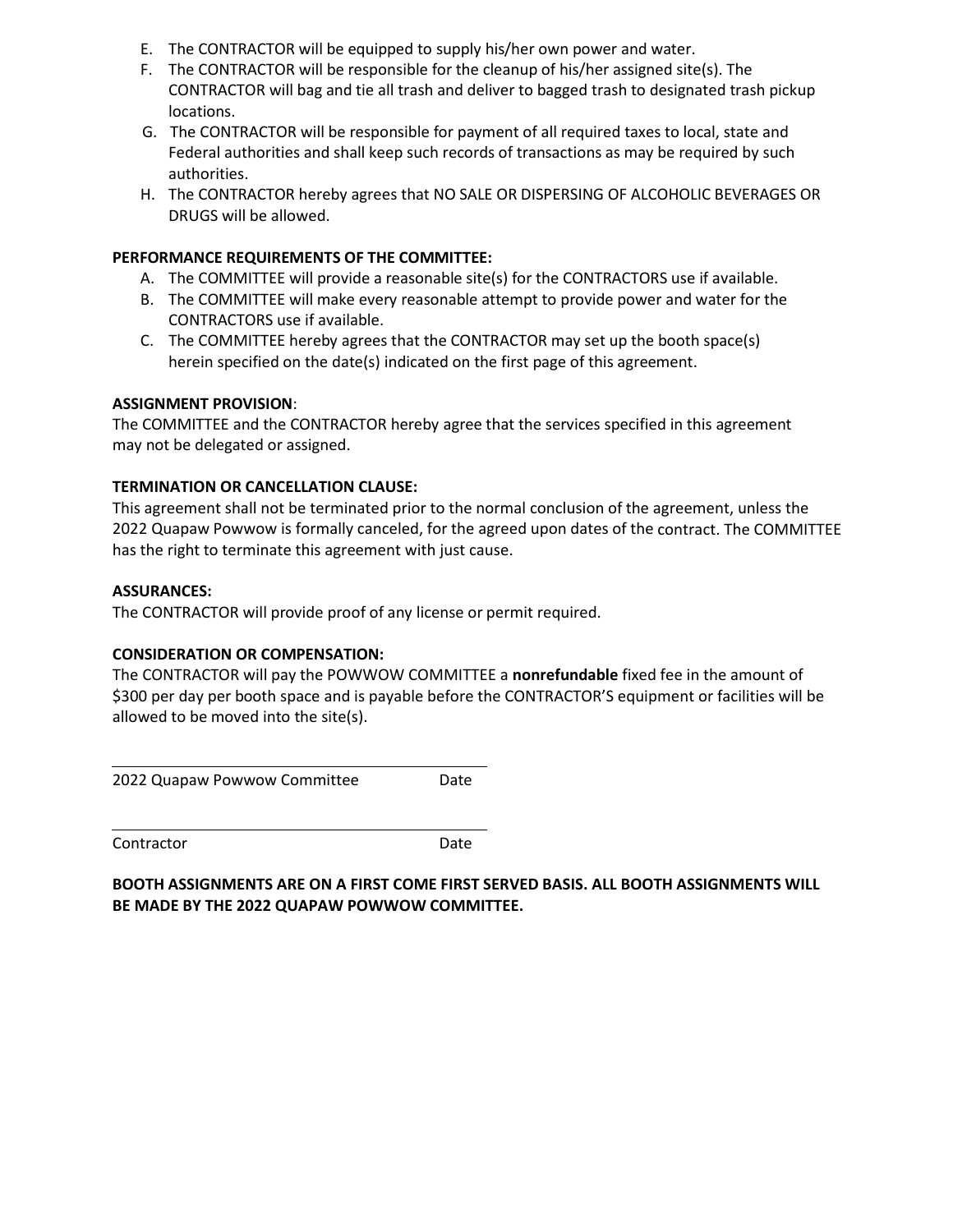- E. The CONTRACTOR will be equipped to supply his/her own power and water.
- F. The CONTRACTOR will be responsible for the cleanup of his/her assigned site(s). The CONTRACTOR will bag and tie all trash and deliver to bagged trash to designated trash pickup locations.
- G. The CONTRACTOR will be responsible for payment of all required taxes to local, state and Federal authorities and shall keep such records of transactions as may be required by such authorities.
- H. The CONTRACTOR hereby agrees that NO SALE OR DISPERSING OF ALCOHOLIC BEVERAGES OR DRUGS will be allowed.

## **PERFORMANCE REQUIREMENTS OF THE COMMITTEE:**

- A. The COMMITTEE will provide a reasonable site(s) for the CONTRACTORS use if available.
- B. The COMMITTEE will make every reasonable attempt to provide power and water for the CONTRACTORS use if available.
- C. The COMMITTEE hereby agrees that the CONTRACTOR may set up the booth space(s) herein specified on the date(s) indicated on the first page of this agreement.

## **ASSIGNMENT PROVISION**:

The COMMITTEE and the CONTRACTOR hereby agree that the services specified in this agreement may not be delegated or assigned.

## **TERMINATION OR CANCELLATION CLAUSE:**

This agreement shall not be terminated prior to the normal conclusion of the agreement, unless the 2022 Quapaw Powwow is formally canceled, for the agreed upon dates of the contract. The COMMITTEE has the right to terminate this agreement with just cause.

#### **ASSURANCES:**

The CONTRACTOR will provide proof of any license or permit required.

# **CONSIDERATION OR COMPENSATION:**

The CONTRACTOR will pay the POWWOW COMMITTEE a **nonrefundable** fixed fee in the amount of \$300 per day per booth space and is payable before the CONTRACTOR'S equipment or facilities will be allowed to be moved into the site(s).

2022 Quapaw Powwow Committee Date

Contractor Date

**BOOTH ASSIGNMENTS ARE ON A FIRST COME FIRST SERVED BASIS. ALL BOOTH ASSIGNMENTS WILL BE MADE BY THE 2022 QUAPAW POWWOW COMMITTEE.**